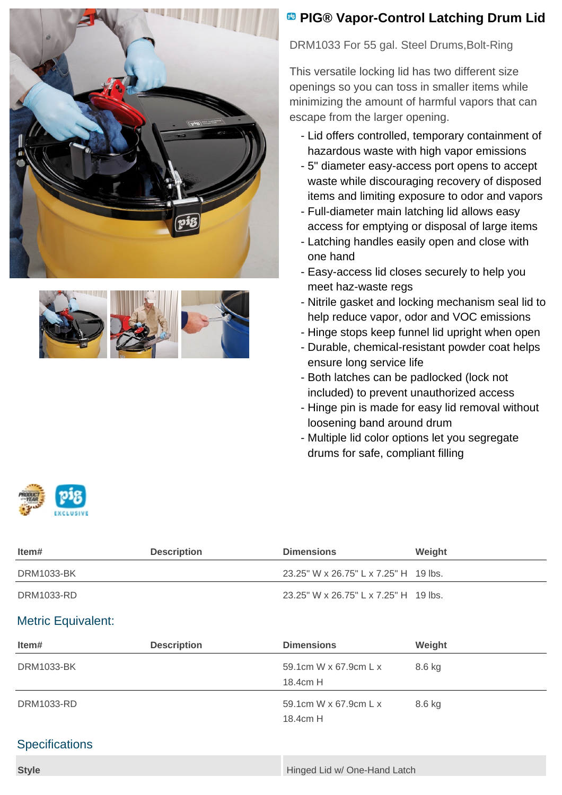



## **B** PIG® Vapor-Control Latching Drum Lid

DRM1033 For 55 gal. Steel Drums,Bolt-Ring

This versatile locking lid has two different size openings so you can toss in smaller items while minimizing the amount of harmful vapors that can escape from the larger opening.

- Lid offers controlled, temporary containment of hazardous waste with high vapor emissions
- 5" diameter easy-access port opens to accept waste while discouraging recovery of disposed items and limiting exposure to odor and vapors
- Full-diameter main latching lid allows easy access for emptying or disposal of large items
- Latching handles easily open and close with one hand
- Easy-access lid closes securely to help you meet haz-waste regs
- Nitrile gasket and locking mechanism seal lid to help reduce vapor, odor and VOC emissions
- Hinge stops keep funnel lid upright when open
- Durable, chemical-resistant powder coat helps ensure long service life
- Both latches can be padlocked (lock not included) to prevent unauthorized access
- Hinge pin is made for easy lid removal without loosening band around drum

8.6 kg

Multiple lid color options let you segregate drums for safe, compliant filling



| Item#                     | <b>Description</b> | <b>Dimensions</b>                     | Weight |  |
|---------------------------|--------------------|---------------------------------------|--------|--|
| DRM1033-BK                |                    | 23.25" W x 26.75" L x 7.25" H 19 lbs. |        |  |
| DRM1033-RD                |                    | 23.25" W x 26.75" L x 7.25" H 19 lbs. |        |  |
| <b>Metric Equivalent:</b> |                    |                                       |        |  |
| Item#                     | <b>Description</b> | <b>Dimensions</b>                     | Weight |  |
| <b>DRM1033-BK</b>         |                    | 59.1cm W x 67.9cm L x                 | 8.6 kg |  |
|                           |                    | 18.4cm H                              |        |  |

DRM1033-RD 59.1cm W x 67.9cm L x

## **Specifications**

| <b>Style</b> | Hinged Lid w/ One-Hand Latch |
|--------------|------------------------------|
|              |                              |

18.4cm H